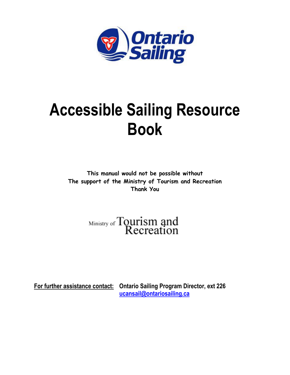

# **Accessible Sailing Resource Book**

**This manual would not be possible without The support of the Ministry of Tourism and Recreation Thank You** 

Ministry of Tourism and<br>Recreation

**For further assistance contact: Ontario Sailing Program Director, ext 226 ucansail@ontariosailing.ca**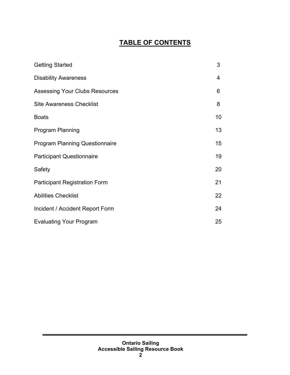## **TABLE OF CONTENTS**

| <b>Getting Started</b>                | 3  |
|---------------------------------------|----|
| <b>Disability Awareness</b>           | 4  |
| <b>Assessing Your Clubs Resources</b> | 6  |
| <b>Site Awareness Checklist</b>       | 8  |
| <b>Boats</b>                          | 10 |
| <b>Program Planning</b>               | 13 |
| <b>Program Planning Questionnaire</b> | 15 |
| <b>Participant Questionnaire</b>      | 19 |
| Safety                                | 20 |
| <b>Participant Registration Form</b>  | 21 |
| <b>Abilities Checklist</b>            | 22 |
| Incident / Accident Report Form       | 24 |
| <b>Evaluating Your Program</b>        | 25 |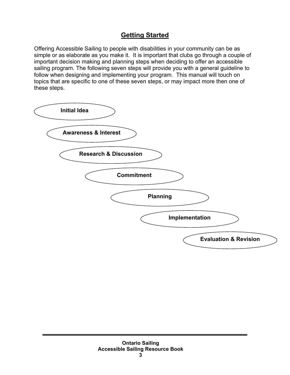## **Getting Started**

Offering Accessible Sailing to people with disabilities in your community can be as simple or as elaborate as you make it. It is important that clubs go through a couple of important decision making and planning steps when deciding to offer an accessible sailing program. The following seven steps will provide you with a general guideline to follow when designing and implementing your program. This manual will touch on topics that are specific to one of these seven steps, or may impact more then one of these steps.

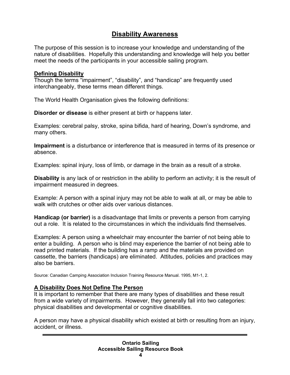## **Disability Awareness**

The purpose of this session is to increase your knowledge and understanding of the nature of disabilities. Hopefully this understanding and knowledge will help you better meet the needs of the participants in your accessible sailing program.

#### **Defining Disability**

Though the terms "impairment", "disability", and "handicap" are frequently used interchangeably, these terms mean different things.

The World Health Organisation gives the following definitions:

**Disorder or disease** is either present at birth or happens later.

Examples: cerebral palsy, stroke, spina bifida, hard of hearing, Down's syndrome, and many others.

**Impairment** is a disturbance or interference that is measured in terms of its presence or absence.

Examples: spinal injury, loss of limb, or damage in the brain as a result of a stroke.

**Disability** is any lack of or restriction in the ability to perform an activity; it is the result of impairment measured in degrees.

Example: A person with a spinal injury may not be able to walk at all, or may be able to walk with crutches or other aids over various distances.

**Handicap (or barrier)** is a disadvantage that limits or prevents a person from carrying out a role. It is related to the circumstances in which the individuals find themselves.

Examples: A person using a wheelchair may encounter the barrier of not being able to enter a building. A person who is blind may experience the barrier of not being able to read printed materials. If the building has a ramp and the materials are provided on cassette, the barriers (handicaps) are eliminated. Attitudes, policies and practices may also be barriers.

Source: Canadian Camping Association Inclusion Training Resource Manual. 1995, M1-1, 2.

#### **A Disability Does Not Define The Person**

It is important to remember that there are many types of disabilities and these result from a wide variety of impairments. However, they generally fall into two categories: physical disabilities and developmental or cognitive disabilities.

A person may have a physical disability which existed at birth or resulting from an injury, accident, or illness.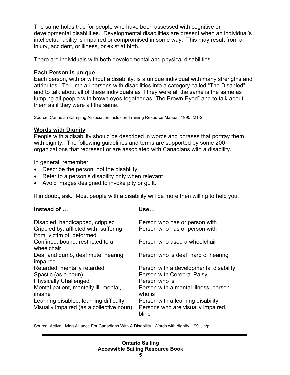The same holds true for people who have been assessed with cognitive or developmental disabilities. Developmental disabilities are present when an individual's intellectual ability is impaired or compromised in some way. This may result from an injury, accident, or illness, or exist at birth.

There are individuals with both developmental and physical disabilities.

## **Each Person is unique**

Each person, with or without a disability, is a unique individual with many strengths and attributes. To lump all persons with disabilities into a category called "The Disabled" and to talk about all of these individuals as if they were all the same is the same as lumping all people with brown eyes together as "The Brown-Eyed" and to talk about them as if they were all the same.

Source: Canadian Camping Association Inclusion Training Resource Manual. 1995, M1-2.

## **Words with Dignity**

People with a disability should be described in words and phrases that portray them with dignity. The following guidelines and terms are supported by some 200 organizations that represent or are associated with Canadians with a disability.

In general, remember:

- Describe the person, not the disability
- Refer to a person's disability only when relevant
- Avoid images designed to invoke pity or guilt.

If in doubt, ask. Most people with a disability will be more then willing to help you.

| Instead of                                                                                             | Use…                                                           |
|--------------------------------------------------------------------------------------------------------|----------------------------------------------------------------|
| Disabled, handicapped, crippled<br>Crippled by, afflicted with, suffering<br>from, victim of, deformed | Person who has or person with<br>Person who has or person with |
| Confined, bound, restricted to a<br>wheelchair                                                         | Person who used a wheelchair                                   |
| Deaf and dumb, deaf mute, hearing<br>impaired                                                          | Person who is deaf, hard of hearing                            |
| Retarded, mentally retarded                                                                            | Person with a developmental disability                         |
| Spastic (as a noun)                                                                                    | Person with Cerebral Palsy                                     |
| <b>Physically Challenged</b>                                                                           | Person who is                                                  |
| Mental patient, mentally ill, mental,<br>insane                                                        | Person with a mental illness, person<br>who is                 |
| Learning disabled, learning difficulty                                                                 | Person with a learning disability                              |
| Visually impaired (as a collective noun)                                                               | Persons who are visually impaired,<br>blind                    |

Source: Active Living Alliance For Canadians With A Disability. Words with dignity, 1991, n/p.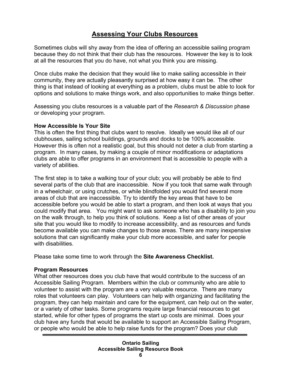## **Assessing Your Clubs Resources**

Sometimes clubs will shy away from the idea of offering an accessible sailing program because they do not think that their club has the resources. However the key is to look at all the resources that you do have, not what you think you are missing.

Once clubs make the decision that they would like to make sailing accessible in their community, they are actually pleasantly surprised at how easy it can be. The other thing is that instead of looking at everything as a problem, clubs must be able to look for options and solutions to make things work, and also opportunities to make things better.

Assessing you clubs resources is a valuable part of the *Research & Discussion* phase or developing your program.

#### **How Accessible Is Your Site**

This is often the first thing that clubs want to resolve. Ideally we would like all of our clubhouses, sailing school buildings, grounds and docks to be 100% accessible. However this is often not a realistic goal, but this should not deter a club from starting a program. In many cases, by making a couple of minor modifications or adaptations clubs are able to offer programs in an environment that is accessible to people with a variety of abilities.

The first step is to take a walking tour of your club; you will probably be able to find several parts of the club that are inaccessible. Now if you took that same walk through in a wheelchair, or using crutches, or while blindfolded you would find several more areas of club that are inaccessible. Try to identify the key areas that have to be accessible before you would be able to start a program, and then look at ways that you could modify that area. You might want to ask someone who has a disability to join you on the walk through, to help you think of solutions. Keep a list of other areas of your site that you would like to modify to increase accessibility, and as resources and funds become available you can make changes to those areas. There are many inexpensive solutions that can significantly make your club more accessible, and safer for people with disabilities

Please take some time to work through the **Site Awareness Checklist.** 

## **Program Resources**

What other resources does you club have that would contribute to the success of an Accessible Sailing Program. Members within the club or community who are able to volunteer to assist with the program are a very valuable resource. There are many roles that volunteers can play. Volunteers can help with organizing and facilitating the program, they can help maintain and care for the equipment, can help out on the water, or a variety of other tasks. Some programs require large financial resources to get started, while for other types of programs the start up costs are minimal. Does your club have any funds that would be available to support an Accessible Sailing Program, or people who would be able to help raise funds for the program? Does your club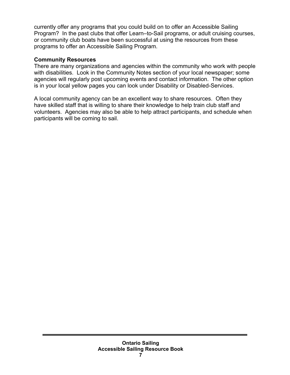currently offer any programs that you could build on to offer an Accessible Sailing Program? In the past clubs that offer Learn–to-Sail programs, or adult cruising courses, or community club boats have been successful at using the resources from these programs to offer an Accessible Sailing Program.

## **Community Resources**

There are many organizations and agencies within the community who work with people with disabilities. Look in the Community Notes section of your local newspaper; some agencies will regularly post upcoming events and contact information. The other option is in your local yellow pages you can look under Disability or Disabled-Services.

A local community agency can be an excellent way to share resources. Often they have skilled staff that is willing to share their knowledge to help train club staff and volunteers. Agencies may also be able to help attract participants, and schedule when participants will be coming to sail.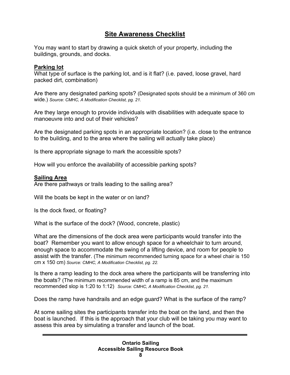## **Site Awareness Checklist**

You may want to start by drawing a quick sketch of your property, including the buildings, grounds, and docks.

## **Parking lot**

What type of surface is the parking lot, and is it flat? (i.e. paved, loose gravel, hard packed dirt, combination)

Are there any designated parking spots? (Designated spots should be a minimum of 360 cm wide.) *Source: CMHC, A Modification Checklist, pg. 21.*

Are they large enough to provide individuals with disabilities with adequate space to manoeuvre into and out of their vehicles?

Are the designated parking spots in an appropriate location? (i.e. close to the entrance to the building, and to the area where the sailing will actually take place)

Is there appropriate signage to mark the accessible spots?

How will you enforce the availability of accessible parking spots?

## **Sailing Area**

Are there pathways or trails leading to the sailing area?

Will the boats be kept in the water or on land?

Is the dock fixed, or floating?

What is the surface of the dock? (Wood, concrete, plastic)

What are the dimensions of the dock area were participants would transfer into the boat? Remember you want to allow enough space for a wheelchair to turn around, enough space to accommodate the swing of a lifting device, and room for people to assist with the transfer. (The minimum recommended turning space for a wheel chair is 150 cm x 150 cm) *Source: CMHC, A Modification Checklist, pg. 22.* 

Is there a ramp leading to the dock area where the participants will be transferring into the boats? (The minimum recommended width of a ramp is 85 cm, and the maximum recommended slop is 1:20 to 1:12) *Source: CMHC, A Modification Checklist, pg. 21.*

Does the ramp have handrails and an edge guard? What is the surface of the ramp?

At some sailing sites the participants transfer into the boat on the land, and then the boat is launched. If this is the approach that your club will be taking you may want to assess this area by simulating a transfer and launch of the boat.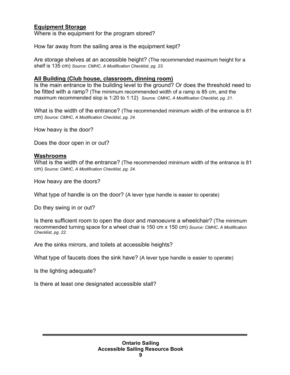## **Equipment Storage**

Where is the equipment for the program stored?

How far away from the sailing area is the equipment kept?

Are storage shelves at an accessible height? (The recommended maximum height for a shelf is 135 cm) *Source: CMHC, A Modification Checklist, pg. 23.*

#### **All Building (Club house, classroom, dinning room)**

Is the main entrance to the building level to the ground? Or does the threshold need to be fitted with a ramp? (The minimum recommended width of a ramp is 85 cm, and the maximum recommended slop is 1:20 to 1:12) *Source: CMHC, A Modification Checklist, pg. 21.* 

What is the width of the entrance? (The recommended minimum width of the entrance is 81 cm) *Source: CMHC, A Modification Checklist, pg. 24.*

How heavy is the door?

Does the door open in or out?

#### **Washrooms**

What is the width of the entrance? (The recommended minimum width of the entrance is 81 cm) *Source: CMHC, A Modification Checklist, pg. 24.*

How heavy are the doors?

What type of handle is on the door? (A lever type handle is easier to operate)

Do they swing in or out?

Is there sufficient room to open the door and manoeuvre a wheelchair? (The minimum recommended turning space for a wheel chair is 150 cm x 150 cm) *Source: CMHC, A Modification Checklist, pg. 22.* 

Are the sinks mirrors, and toilets at accessible heights?

What type of faucets does the sink have? (A lever type handle is easier to operate)

Is the lighting adequate?

Is there at least one designated accessible stall?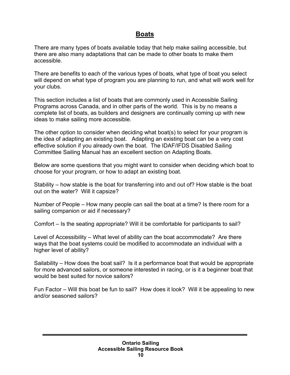## **Boats**

There are many types of boats available today that help make sailing accessible, but there are also many adaptations that can be made to other boats to make them accessible.

There are benefits to each of the various types of boats, what type of boat you select will depend on what type of program you are planning to run, and what will work well for your clubs.

This section includes a list of boats that are commonly used in Accessible Sailing Programs across Canada, and in other parts of the world. This is by no means a complete list of boats, as builders and designers are continually coming up with new ideas to make sailing more accessible.

The other option to consider when deciding what boat(s) to select for your program is the idea of adapting an existing boat. Adapting an existing boat can be a very cost effective solution if you already own the boat. The IDAF/IFDS Disabled Sailing Committee Sailing Manual has an excellent section on Adapting Boats.

Below are some questions that you might want to consider when deciding which boat to choose for your program, or how to adapt an existing boat.

Stability – how stable is the boat for transferring into and out of? How stable is the boat out on the water? Will it capsize?

Number of People – How many people can sail the boat at a time? Is there room for a sailing companion or aid if necessary?

Comfort – Is the seating appropriate? Will it be comfortable for participants to sail?

Level of Accessibility – What level of ability can the boat accommodate? Are there ways that the boat systems could be modified to accommodate an individual with a higher level of ability?

Sailability – How does the boat sail? Is it a performance boat that would be appropriate for more advanced sailors, or someone interested in racing, or is it a beginner boat that would be best suited for novice sailors?

Fun Factor – Will this boat be fun to sail? How does it look? Will it be appealing to new and/or seasoned sailors?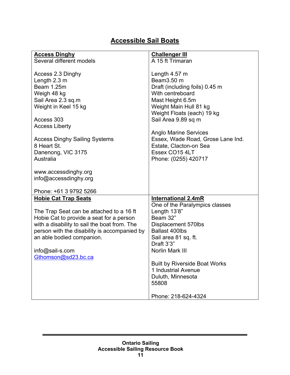## **Accessible Sail Boats**

| <b>Access Dinghy</b>                         | <b>Challenger III</b>                |
|----------------------------------------------|--------------------------------------|
| Several different models                     | A 15 ft Trimaran                     |
|                                              |                                      |
| Access 2.3 Dinghy                            | Length $4.57$ m                      |
| Length 2.3 m                                 | Beam3.50 m                           |
| Beam 1.25m                                   | Draft (including foils) 0.45 m       |
| Weigh 48 kg                                  | With centreboard                     |
| Sail Area 2.3 sq.m                           | Mast Height 6.5m                     |
| Weight in Keel 15 kg                         | Weight Main Hull 81 kg               |
|                                              | Weight Floats (each) 19 kg           |
| Access 303                                   | Sail Area 9.89 sq m                  |
| <b>Access Liberty</b>                        |                                      |
|                                              | <b>Anglo Marine Services</b>         |
| <b>Access Dinghy Sailing Systems</b>         | Essex, Wade Road, Grose Lane Ind.    |
| 8 Heart St.                                  | Estate, Clacton-on Sea               |
| Danenong, VIC 3175                           | Essex CO15 4LT                       |
| Australia                                    | Phone: (0255) 420717                 |
|                                              |                                      |
| www.accessdinghy.org                         |                                      |
| info@accessdinghy.org                        |                                      |
| Phone: +61 3 9792 5266                       |                                      |
| <b>Hobie Cat Trap Seats</b>                  | <b>International 2.4mR</b>           |
|                                              | One of the Paralympics classes       |
| The Trap Seat can be attached to a 16 ft     | Length 13'8"                         |
| Hobie Cat to provide a seat for a person     | Beam 32"                             |
| with a disability to sail the boat from. The | Displacement 570lbs                  |
| person with the disability is accompanied by | <b>Ballast 400lbs</b>                |
| an able bodied companion.                    | Sail area 81 sq. ft.                 |
|                                              | Draft 3'3"                           |
| info@sail-s.com                              | Norlin Mark III                      |
| Gthomson@sd23.bc.ca                          |                                      |
|                                              | <b>Built by Riverside Boat Works</b> |
|                                              | 1 Industrial Avenue                  |
|                                              | Duluth, Minnesota                    |
|                                              | 55808                                |
|                                              |                                      |
|                                              | Phone: 218-624-4324                  |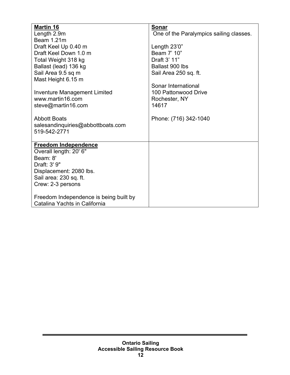| <b>Martin 16</b>                       | <b>Sonar</b>                            |
|----------------------------------------|-----------------------------------------|
| Length 2.9m                            | One of the Paralympics sailing classes. |
| Beam 1.21m                             |                                         |
| Draft Keel Up 0.40 m                   | Length 23'0"                            |
| Draft Keel Down 1.0 m                  | Beam 7' 10"                             |
| Total Weight 318 kg                    | Draft 3' 11"                            |
| Ballast (lead) 136 kg                  | Ballast 900 lbs                         |
| Sail Area 9.5 sq m                     | Sail Area 250 sq. ft.                   |
| Mast Height 6.15 m                     |                                         |
|                                        | Sonar International                     |
| Inventure Management Limited           | 100 Pattonwood Drive                    |
| www.martin16.com                       | Rochester, NY                           |
| steve@martin16.com                     | 14617                                   |
|                                        |                                         |
| <b>Abbott Boats</b>                    | Phone: (716) 342-1040                   |
| salesandinquiries@abbottboats.com      |                                         |
| 519-542-2771                           |                                         |
|                                        |                                         |
| <b>Freedom Independence</b>            |                                         |
| Overall length: 20' 6"                 |                                         |
| Beam: 8'                               |                                         |
| Draft: 3' 9"                           |                                         |
| Displacement: 2080 lbs.                |                                         |
| Sail area: 230 sq. ft.                 |                                         |
| Crew: 2-3 persons                      |                                         |
|                                        |                                         |
| Freedom Independence is being built by |                                         |
| Catalina Yachts in California          |                                         |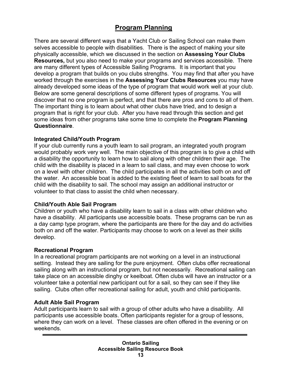## **Program Planning**

There are several different ways that a Yacht Club or Sailing School can make them selves accessible to people with disabilities. There is the aspect of making your site physically accessible, which we discussed in the section on **Assessing Your Clubs Resources,** but you also need to make your programs and services accessible. There are many different types of Accessible Sailing Programs. It is important that you develop a program that builds on you clubs strengths. You may find that after you have worked through the exercises in the **Assessing Your Clubs Resources** you may have already developed some ideas of the type of program that would work well at your club. Below are some general descriptions of some different types of programs. You will discover that no one program is perfect, and that there are pros and cons to all of them. The important thing is to learn about what other clubs have tried, and to design a program that is right for your club. After you have read through this section and get some ideas from other programs take some time to complete the **Program Planning Questionnaire**.

#### **Integrated Child/Youth Program**

If your club currently runs a youth learn to sail program, an integrated youth program would probably work very well. The main objective of this program is to give a child with a disability the opportunity to learn how to sail along with other children their age. The child with the disability is placed in a learn to sail class, and may even choose to work on a level with other children. The child participates in all the activities both on and off the water. An accessible boat is added to the existing fleet of learn to sail boats for the child with the disability to sail. The school may assign an additional instructor or volunteer to that class to assist the child when necessary.

#### **Child/Youth Able Sail Program**

Children or youth who have a disability learn to sail in a class with other children who have a disability. All participants use accessible boats. These programs can be run as a day camp type program, where the participants are there for the day and do activities both on and off the water. Participants may choose to work on a level as their skills develop.

#### **Recreational Program**

In a recreational program participants are not working on a level in an instructional setting. Instead they are sailing for the pure enjoyment. Often clubs offer recreational sailing along with an instructional program, but not necessarily. Recreational sailing can take place on an accessible dinghy or keelboat. Often clubs will have an instructor or a volunteer take a potential new participant out for a sail, so they can see if they like sailing. Clubs often offer recreational sailing for adult, youth and child participants.

#### **Adult Able Sail Program**

Adult participants learn to sail with a group of other adults who have a disability. All participants use accessible boats. Often participants register for a group of lessons, where they can work on a level. These classes are often offered in the evening or on weekends.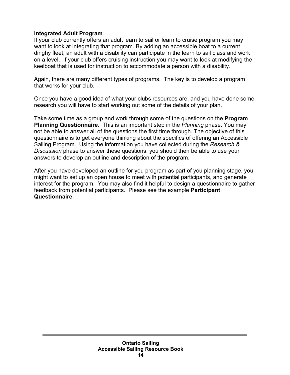#### **Integrated Adult Program**

If your club currently offers an adult learn to sail or learn to cruise program you may want to look at integrating that program. By adding an accessible boat to a current dinghy fleet, an adult with a disability can participate in the learn to sail class and work on a level. If your club offers cruising instruction you may want to look at modifying the keelboat that is used for instruction to accommodate a person with a disability.

Again, there are many different types of programs. The key is to develop a program that works for your club.

Once you have a good idea of what your clubs resources are, and you have done some research you will have to start working out some of the details of your plan.

Take some time as a group and work through some of the questions on the **Program Planning Questionnaire**. This is an important step in the *Planning* phase. You may not be able to answer all of the questions the first time through. The objective of this questionnaire is to get everyone thinking about the specifics of offering an Accessible Sailing Program. Using the information you have collected during the *Research & Discussion* phase to answer these questions, you should then be able to use your answers to develop an outline and description of the program.

After you have developed an outline for you program as part of you planning stage, you might want to set up an open house to meet with potential participants, and generate interest for the program. You may also find it helpful to design a questionnaire to gather feedback from potential participants. Please see the example **Participant Questionnaire**.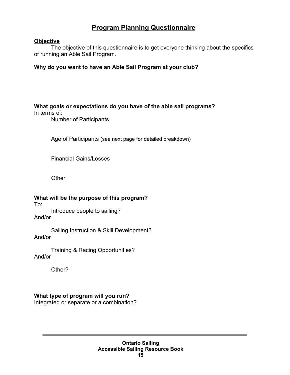## **Program Planning Questionnaire**

## **Objective**

 The objective of this questionnaire is to get everyone thinking about the specifics of running an Able Sail Program.

## **Why do you want to have an Able Sail Program at your club?**

## **What goals or expectations do you have of the able sail programs?**

In terms of:

Number of Participants

Age of Participants (see next page for detailed breakdown)

Financial Gains/Losses

**Other** 

## **What will be the purpose of this program?**

To:

 Introduce people to sailing? And/or

 Sailing Instruction & Skill Development? And/or

 Training & Racing Opportunities? And/or

Other?

## **What type of program will you run?**

Integrated or separate or a combination?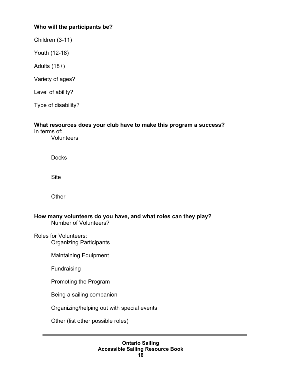## **Who will the participants be?**

Children (3-11)

Youth (12-18)

Adults (18+)

Variety of ages?

Level of ability?

Type of disability?

#### **What resources does your club have to make this program a success?**

In terms of: **Volunteers** 

**Docks** 

Site

**Other** 

**How many volunteers do you have, and what roles can they play?**  Number of Volunteers?

Roles for Volunteers: Organizing Participants

Maintaining Equipment

Fundraising

Promoting the Program

Being a sailing companion

Organizing/helping out with special events

Other (list other possible roles)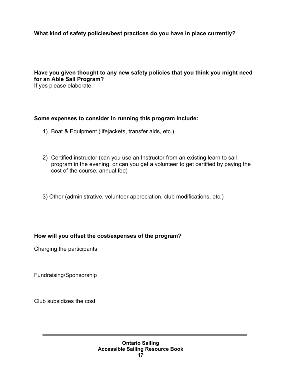## **What kind of safety policies/best practices do you have in place currently?**

## **Have you given thought to any new safety policies that you think you might need for an Able Sail Program?**

If yes please elaborate:

## **Some expenses to consider in running this program include:**

- 1) Boat & Equipment (lifejackets, transfer aids, etc.)
- 2) Certified instructor (can you use an Instructor from an existing learn to sail program in the evening, or can you get a volunteer to get certified by paying the cost of the course, annual fee)
- 3) Other (administrative, volunteer appreciation, club modifications, etc.)

#### **How will you offset the cost/expenses of the program?**

Charging the participants

Fundraising/Sponsorship

Club subsidizes the cost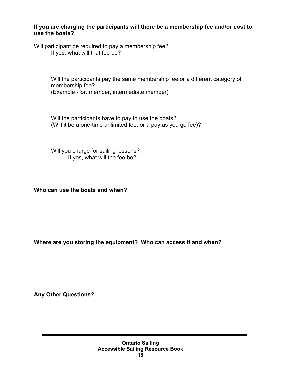## **If you are charging the participants will there be a membership fee and/or cost to use the boats?**

Will participant be required to pay a membership fee? If yes, what will that fee be?

> Will the participants pay the same membership fee or a different category of membership fee? (Example - Sr. member, intermediate member)

Will the participants have to pay to use the boats? (Will it be a one-time unlimited fee, or a pay as you go fee)?

Will you charge for sailing lessons? If yes, what will the fee be?

**Who can use the boats and when?** 

**Where are you storing the equipment? Who can access it and when?** 

**Any Other Questions?**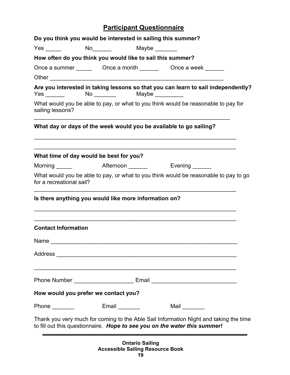## **Participant Questionnaire**

| Do you think you would be interested in sailing this summer? |  |                                                                                                                                                                    |
|--------------------------------------------------------------|--|--------------------------------------------------------------------------------------------------------------------------------------------------------------------|
|                                                              |  |                                                                                                                                                                    |
| How often do you think you would like to sail this summer?   |  |                                                                                                                                                                    |
|                                                              |  | Once a summer ______________Once a month ________________Once a week ___________                                                                                   |
|                                                              |  |                                                                                                                                                                    |
|                                                              |  | Are you interested in taking lessons so that you can learn to sail independently?                                                                                  |
| sailing lessons?                                             |  | What would you be able to pay, or what to you think would be reasonable to pay for                                                                                 |
|                                                              |  | What day or days of the week would you be available to go sailing?                                                                                                 |
| What time of day would be best for you?                      |  | <u> 1989 - Johann Stoff, amerikansk politiker (d. 1989)</u>                                                                                                        |
|                                                              |  |                                                                                                                                                                    |
| for a recreational sail?                                     |  | What would you be able to pay, or what to you think would be reasonable to pay to go                                                                               |
| Is there anything you would like more information on?        |  |                                                                                                                                                                    |
| <b>Contact Information</b>                                   |  |                                                                                                                                                                    |
|                                                              |  |                                                                                                                                                                    |
|                                                              |  |                                                                                                                                                                    |
|                                                              |  | Phone Number _____________________________ Email _______________________________                                                                                   |
| How would you prefer we contact you?                         |  |                                                                                                                                                                    |
| Phone $\_\_\_\_\_\_\_\$                                      |  | Mail $\_\_$                                                                                                                                                        |
|                                                              |  | Thank you very much for coming to the Able Sail Information Night and taking the time<br>to fill out this questionnaire. Hope to see you on the water this summer! |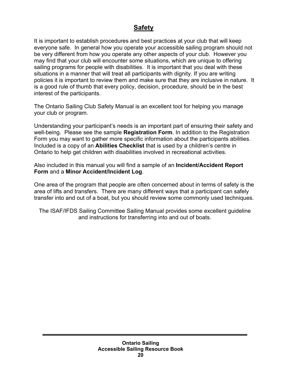## **Safety**

It is important to establish procedures and best practices at your club that will keep everyone safe. In general how you operate your accessible sailing program should not be very different from how you operate any other aspects of your club. However you may find that your club will encounter some situations, which are unique to offering sailing programs for people with disabilities. It is important that you deal with these situations in a manner that will treat all participants with dignity. If you are writing policies it is important to review them and make sure that they are inclusive in nature. It is a good rule of thumb that every policy, decision, procedure, should be in the best interest of the participants.

The Ontario Sailing Club Safety Manual is an excellent tool for helping you manage your club or program.

Understanding your participant's needs is an important part of ensuring their safety and well-being. Please see the sample **Registration Form**. In addition to the Registration Form you may want to gather more specific information about the participants abilities. Included is a copy of an **Abilities Checklist** that is used by a children's centre in Ontario to help get children with disabilities involved in recreational activities.

Also included in this manual you will find a sample of an **Incident/Accident Report Form** and a **Minor Accident/Incident Log**.

One area of the program that people are often concerned about in terms of safety is the area of lifts and transfers. There are many different ways that a participant can safely transfer into and out of a boat, but you should review some commonly used techniques.

The ISAF/IFDS Sailing Committee Sailing Manual provides some excellent guideline and instructions for transferring into and out of boats.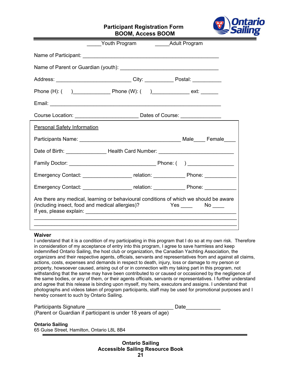## **Participant Registration Form**



**BOOM, Access BOOM**

|                                    | <b>The Youth Program Contains Adult Program</b>                                                                                          |  |                     |
|------------------------------------|------------------------------------------------------------------------------------------------------------------------------------------|--|---------------------|
|                                    |                                                                                                                                          |  |                     |
|                                    |                                                                                                                                          |  |                     |
|                                    | Address: _________________________________City: _______________ Postal: _____________                                                    |  |                     |
|                                    |                                                                                                                                          |  |                     |
|                                    |                                                                                                                                          |  |                     |
|                                    |                                                                                                                                          |  |                     |
| <b>Personal Safety Information</b> |                                                                                                                                          |  |                     |
|                                    |                                                                                                                                          |  |                     |
|                                    | Date of Birth: _____________________Health Card Number: ________________________                                                         |  |                     |
|                                    |                                                                                                                                          |  |                     |
|                                    |                                                                                                                                          |  |                     |
|                                    | Emergency Contact: _____________________ relation: ______________ Phone: ____________                                                    |  |                     |
|                                    | Emergency Contact: ________________________relation: ____________________________                                                        |  |                     |
|                                    | Are there any medical, learning or behavioural conditions of which we should be aware<br>(including insect, food and medical allergies)? |  | Yes _____  No _____ |

#### **Waiver**

I understand that it is a condition of my participating in this program that I do so at my own risk. Therefore in consideration of my acceptance of entry into this program, I agree to save harmless and keep indemnified Ontario Sailing, the host club or organization, the Canadian Yachting Association, the organizers and their respective agents, officials, servants and representatives from and against all claims, actions, costs, expenses and demands in respect to death, injury, loss or damage to my person or property, howsoever caused, arising out of or in connection with my taking part in this program, not withstanding that the same may have been contributed to or caused or occasioned by the negligence of the same bodies, or any of them, or their agents officials, servants or representatives. I further understand and agree that this release is binding upon myself, my heirs, executors and assigns. I understand that photographs and videos taken of program participants, staff may be used for promotional purposes and I hereby consent to such by Ontario Sailing.

| Participants Signature |                                                              | Date |
|------------------------|--------------------------------------------------------------|------|
|                        | (Parent or Guardian if participant is under 18 years of age) |      |

#### **Ontario Sailing**

65 Guise Street, Hamilton, Ontario L8L 8B4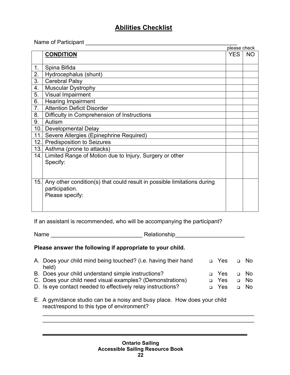## **Abilities Checklist**

Name of Participant \_\_\_\_\_\_\_\_\_\_\_\_\_\_\_\_\_\_\_\_\_\_\_\_\_\_\_\_\_\_\_\_\_\_\_\_\_\_\_\_\_\_\_\_\_\_\_\_ please check

|                |                                                                         | please check |           |
|----------------|-------------------------------------------------------------------------|--------------|-----------|
|                | <b>CONDITION</b>                                                        | <b>YES</b>   | <b>NO</b> |
|                |                                                                         |              |           |
| 1 <sub>1</sub> | Spina Bifida                                                            |              |           |
| 2.             | Hydrocephalus (shunt)                                                   |              |           |
| 3.             | <b>Cerebral Palsy</b>                                                   |              |           |
| 4.             | <b>Muscular Dystrophy</b>                                               |              |           |
| 5.             | Visual Impairment                                                       |              |           |
| 6.             | <b>Hearing Impairment</b>                                               |              |           |
| 7.             | <b>Attention Deficit Disorder</b>                                       |              |           |
| 8.             | Difficulty in Comprehension of Instructions                             |              |           |
| 9.             | Autism                                                                  |              |           |
|                | 10. Developmental Delay                                                 |              |           |
| 11.            | Severe Allergies (Epinephrine Required)                                 |              |           |
| 12.            | <b>Predisposition to Seizures</b>                                       |              |           |
| 13.            | Asthma (prone to attacks)                                               |              |           |
| 14.            | Limited Range of Motion due to Injury, Surgery or other                 |              |           |
|                | Specify:                                                                |              |           |
|                |                                                                         |              |           |
|                |                                                                         |              |           |
| 15.            | Any other condition(s) that could result in possible limitations during |              |           |
|                | participation.                                                          |              |           |
|                | Please specify:                                                         |              |           |
|                |                                                                         |              |           |
|                |                                                                         |              |           |

If an assistant is recommended, who will be accompanying the participant?

Name \_\_\_\_\_\_\_\_\_\_\_\_\_\_\_\_\_\_\_\_\_\_\_\_\_\_\_\_\_ Relationship\_\_\_\_\_\_\_\_\_\_\_\_\_\_\_\_\_\_\_\_\_\_

#### **Please answer the following if appropriate to your child.**

| A. Does your child mind being touched? (i.e. having their hand | □ Yes      | $\Box$ No |
|----------------------------------------------------------------|------------|-----------|
| held)                                                          |            |           |
| B. Does your child understand simple instructions?             | □ Yes      | $\Box$ No |
| C. Does your child need visual examples? (Demonstrations)      | □ Yes      | □ No      |
| D. Is eye contact needed to effectively relay instructions?    | $\Box$ Yes | □ No      |
|                                                                |            |           |

\_\_\_\_\_\_\_\_\_\_\_\_\_\_\_\_\_\_\_\_\_\_\_\_\_\_\_\_\_\_\_\_\_\_\_\_\_\_\_\_\_\_\_\_\_\_\_\_\_\_\_\_\_\_\_\_\_\_\_\_\_\_\_\_\_\_\_

E. A gym/dance studio can be a noisy and busy place. How does your child react/respond to this type of environment?

 $\mathcal{L}_\text{max}$  and  $\mathcal{L}_\text{max}$  and  $\mathcal{L}_\text{max}$  and  $\mathcal{L}_\text{max}$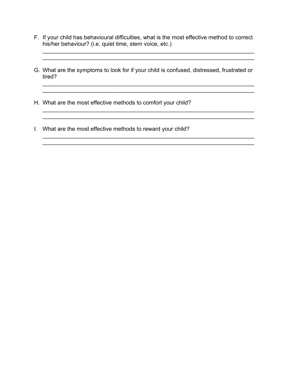F. If your child has behavioural difficulties, what is the most effective method to correct his/her behaviour? (i.e. quiet time, stern voice, etc.)

\_\_\_\_\_\_\_\_\_\_\_\_\_\_\_\_\_\_\_\_\_\_\_\_\_\_\_\_\_\_\_\_\_\_\_\_\_\_\_\_\_\_\_\_\_\_\_\_\_\_\_\_\_\_\_\_\_\_\_\_\_\_\_\_\_\_\_

G. What are the symptoms to look for if your child is confused, distressed, frustrated or tired?

\_\_\_\_\_\_\_\_\_\_\_\_\_\_\_\_\_\_\_\_\_\_\_\_\_\_\_\_\_\_\_\_\_\_\_\_\_\_\_\_\_\_\_\_\_\_\_\_\_\_\_\_\_\_\_\_\_\_\_\_\_\_\_\_\_\_\_

\_\_\_\_\_\_\_\_\_\_\_\_\_\_\_\_\_\_\_\_\_\_\_\_\_\_\_\_\_\_\_\_\_\_\_\_\_\_\_\_\_\_\_\_\_\_\_\_\_\_\_\_\_\_\_\_\_\_\_\_\_\_\_\_\_\_\_

\_\_\_\_\_\_\_\_\_\_\_\_\_\_\_\_\_\_\_\_\_\_\_\_\_\_\_\_\_\_\_\_\_\_\_\_\_\_\_\_\_\_\_\_\_\_\_\_\_\_\_\_\_\_\_\_\_\_\_\_\_\_\_\_\_\_\_

 $\mathcal{L}_\mathcal{L} = \mathcal{L}_\mathcal{L} = \mathcal{L}_\mathcal{L} = \mathcal{L}_\mathcal{L} = \mathcal{L}_\mathcal{L} = \mathcal{L}_\mathcal{L} = \mathcal{L}_\mathcal{L} = \mathcal{L}_\mathcal{L} = \mathcal{L}_\mathcal{L} = \mathcal{L}_\mathcal{L} = \mathcal{L}_\mathcal{L} = \mathcal{L}_\mathcal{L} = \mathcal{L}_\mathcal{L} = \mathcal{L}_\mathcal{L} = \mathcal{L}_\mathcal{L} = \mathcal{L}_\mathcal{L} = \mathcal{L}_\mathcal{L}$ \_\_\_\_\_\_\_\_\_\_\_\_\_\_\_\_\_\_\_\_\_\_\_\_\_\_\_\_\_\_\_\_\_\_\_\_\_\_\_\_\_\_\_\_\_\_\_\_\_\_\_\_\_\_\_\_\_\_\_\_\_\_\_\_\_\_\_

 $\overline{\phantom{a}}$  , and the contribution of the contribution of the contribution of the contribution of the contribution of the contribution of the contribution of the contribution of the contribution of the contribution of the

H. What are the most effective methods to comfort your child?

 $\mathcal{L}_\mathcal{L} = \mathcal{L}_\mathcal{L} = \mathcal{L}_\mathcal{L} = \mathcal{L}_\mathcal{L} = \mathcal{L}_\mathcal{L} = \mathcal{L}_\mathcal{L} = \mathcal{L}_\mathcal{L} = \mathcal{L}_\mathcal{L} = \mathcal{L}_\mathcal{L} = \mathcal{L}_\mathcal{L} = \mathcal{L}_\mathcal{L} = \mathcal{L}_\mathcal{L} = \mathcal{L}_\mathcal{L} = \mathcal{L}_\mathcal{L} = \mathcal{L}_\mathcal{L} = \mathcal{L}_\mathcal{L} = \mathcal{L}_\mathcal{L}$ 

I. What are the most effective methods to reward your child?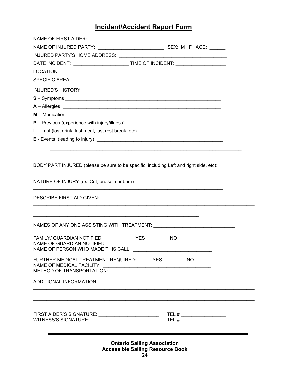## **Incident/Accident Report Form**

| DATE INCIDENT: ________________________________TIME OF INCIDENT: _______________                                                                                                                                                                                                                                                    |                       |
|-------------------------------------------------------------------------------------------------------------------------------------------------------------------------------------------------------------------------------------------------------------------------------------------------------------------------------------|-----------------------|
|                                                                                                                                                                                                                                                                                                                                     |                       |
|                                                                                                                                                                                                                                                                                                                                     |                       |
| <b>INJURED'S HISTORY:</b>                                                                                                                                                                                                                                                                                                           |                       |
| $S - Symptoms$                                                                                                                                                                                                                                                                                                                      |                       |
|                                                                                                                                                                                                                                                                                                                                     |                       |
|                                                                                                                                                                                                                                                                                                                                     |                       |
| P - Previous (experience with injury/illness) __________________________________                                                                                                                                                                                                                                                    |                       |
| L - Last (last drink, last meal, last rest break, etc) __________________________                                                                                                                                                                                                                                                   |                       |
|                                                                                                                                                                                                                                                                                                                                     |                       |
|                                                                                                                                                                                                                                                                                                                                     |                       |
|                                                                                                                                                                                                                                                                                                                                     |                       |
| BODY PART INJURED (please be sure to be specific, including Left and right side, etc):                                                                                                                                                                                                                                              |                       |
| NATURE OF INJURY (ex. Cut, bruise, sunburn): ___________________________________                                                                                                                                                                                                                                                    |                       |
|                                                                                                                                                                                                                                                                                                                                     |                       |
| <u> 1989 - Johann Harry Harry Harry Harry Harry Harry Harry Harry Harry Harry Harry Harry Harry Harry Harry Harry</u><br><u> 1989 - Johann Barbara, martxa alemaniar amerikan basar da da a shekara 1989 - Andrew Santan Barbara, a shekara</u><br>NAMES OF ANY ONE ASSISTING WITH TREATMENT: \\otel_______________________________ |                       |
| <b>FAMILY/ GUARDIAN NOTIFIED:</b><br><b>YES</b><br>NAME OF GUARDIAN NOTIFIED:<br>NAME OF PERSON WHO MADE THIS CALL:                                                                                                                                                                                                                 | NO                    |
| FURTHER MEDICAL TREATMENT REQUIRED:<br><b>NAME OF MEDICAL FACILITY:</b><br>METHOD OF TRANSPORTATION: \\contains\\contains\\contains\\contains\\contains\\contains\\contains\\contains\\conta                                                                                                                                        | <b>EXAMPLE</b><br>NO. |
|                                                                                                                                                                                                                                                                                                                                     |                       |
|                                                                                                                                                                                                                                                                                                                                     |                       |
|                                                                                                                                                                                                                                                                                                                                     |                       |
|                                                                                                                                                                                                                                                                                                                                     |                       |

**Ontario Sailing Association Accessible Sailing Resource Book**  $24$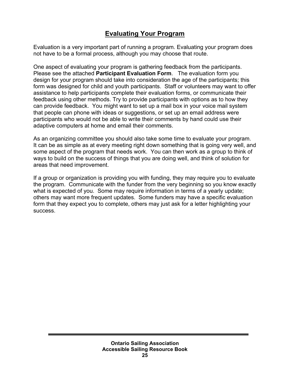## **Evaluating Your Program**

Evaluation is a very important part of running a program. Evaluating your program does not have to be a formal process, although you may choose that route.

One aspect of evaluating your program is gathering feedback from the participants. Please see the attached **Participant Evaluation Form**. The evaluation form you design for your program should take into consideration the age of the participants; this form was designed for child and youth participants. Staff or volunteers may want to offer assistance to help participants complete their evaluation forms, or communicate their feedback using other methods. Try to provide participants with options as to how they can provide feedback. You might want to set up a mail box in your voice mail system that people can phone with ideas or suggestions, or set up an email address were participants who would not be able to write their comments by hand could use their adaptive computers at home and email their comments.

As an organizing committee you should also take some time to evaluate your program. It can be as simple as at every meeting right down something that is going very well, and some aspect of the program that needs work. You can then work as a group to think of ways to build on the success of things that you are doing well, and think of solution for areas that need improvement.

If a group or organization is providing you with funding, they may require you to evaluate the program. Communicate with the funder from the very beginning so you know exactly what is expected of you. Some may require information in terms of a yearly update; others may want more frequent updates. Some funders may have a specific evaluation form that they expect you to complete, others may just ask for a letter highlighting your success.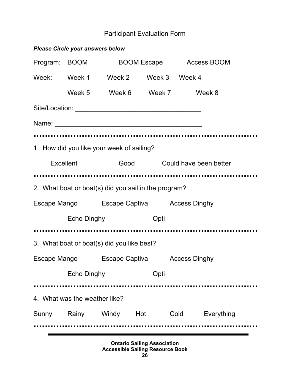## Participant Evaluation Form

|                  | <b>Please Circle your answers below</b> |                                                      |      |                             |            |  |
|------------------|-----------------------------------------|------------------------------------------------------|------|-----------------------------|------------|--|
|                  | Program: BOOM BOOM Escape Access BOOM   |                                                      |      |                             |            |  |
|                  |                                         | Week: Week 1 Week 2 Week 3 Week 4                    |      |                             |            |  |
|                  |                                         | Week 5 Week 6 Week 7 Week 8                          |      |                             |            |  |
|                  |                                         |                                                      |      |                             |            |  |
|                  |                                         |                                                      |      |                             |            |  |
|                  |                                         |                                                      |      |                             |            |  |
|                  |                                         | 1. How did you like your week of sailing?            |      |                             |            |  |
| <b>Excellent</b> |                                         |                                                      |      | Good Could have been better |            |  |
|                  |                                         |                                                      |      |                             |            |  |
|                  |                                         | 2. What boat or boat(s) did you sail in the program? |      |                             |            |  |
|                  |                                         | Escape Mango Escape Captiva Access Dinghy            |      |                             |            |  |
|                  | Echo Dinghy<br>Opti                     |                                                      |      |                             |            |  |
|                  |                                         |                                                      |      |                             |            |  |
|                  |                                         | 3. What boat or boat(s) did you like best?           |      |                             |            |  |
|                  |                                         | Escape Mango Escape Captiva Access Dinghy            |      |                             |            |  |
|                  | <b>Echo Dinghy</b>                      |                                                      | Opti |                             |            |  |
|                  |                                         |                                                      |      |                             |            |  |
|                  | 4. What was the weather like?           |                                                      |      |                             |            |  |
|                  |                                         | Sunny Rainy Windy Hot                                |      | Cold                        | Everything |  |
|                  |                                         |                                                      |      |                             |            |  |